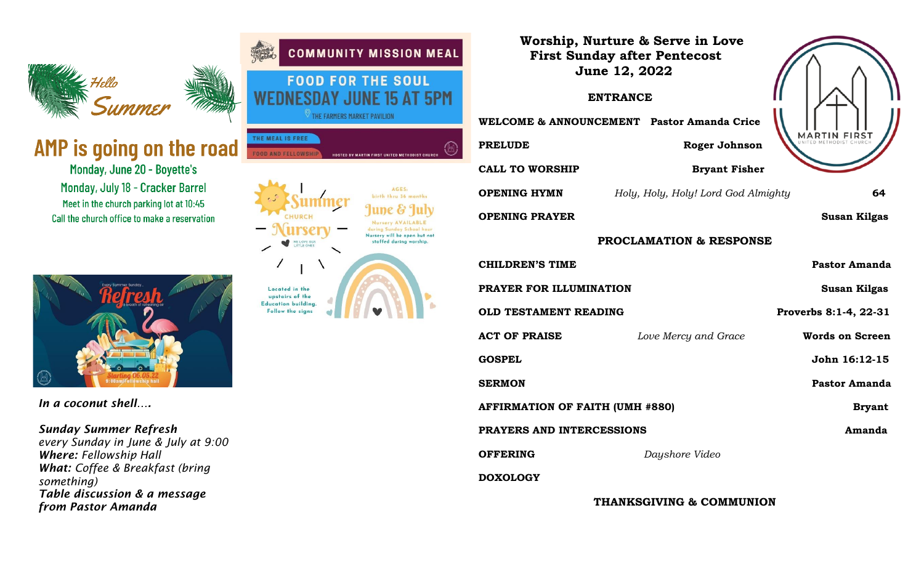

# AMP is going on the road

Monday, June 20 - Boyette's Monday, July 18 - Cracker Barrel Meet in the church parking lot at 10:45 Call the church office to make a reservation



*In a coconut shell….*

# *Sunday Summer Refresh*

*every Sunday in June & July at 9:00 Where: Fellowship Hall What: Coffee & Breakfast (bring something) Table discussion & a message from Pastor Amanda* 



| Worship, Nurture & Serve in Love<br><b>First Sunday after Pentecost</b><br><b>June 12, 2022</b><br><b>ENTRANCE</b> |                                     |                        |
|--------------------------------------------------------------------------------------------------------------------|-------------------------------------|------------------------|
| WELCOME & ANNOUNCEMENT Pastor Amanda Crice                                                                         |                                     |                        |
| <b>PRELUDE</b>                                                                                                     | Roger Johnson                       | MARTIN FIRST           |
| <b>CALL TO WORSHIP</b>                                                                                             | <b>Bryant Fisher</b>                |                        |
| <b>OPENING HYMN</b>                                                                                                | Holy, Holy, Holy! Lord God Almighty | 64                     |
| <b>OPENING PRAYER</b>                                                                                              |                                     | <b>Susan Kilgas</b>    |
| <b>PROCLAMATION &amp; RESPONSE</b>                                                                                 |                                     |                        |
| <b>CHILDREN'S TIME</b>                                                                                             |                                     | <b>Pastor Amanda</b>   |
| PRAYER FOR ILLUMINATION                                                                                            |                                     | <b>Susan Kilgas</b>    |
| <b>OLD TESTAMENT READING</b>                                                                                       |                                     | Proverbs 8:1-4, 22-31  |
| <b>ACT OF PRAISE</b>                                                                                               | Love Mercy and Grace                | <b>Words on Screen</b> |
| <b>GOSPEL</b>                                                                                                      |                                     | John 16:12-15          |
| <b>SERMON</b>                                                                                                      |                                     | Pastor Amanda          |
| <b>AFFIRMATION OF FAITH (UMH #880)</b>                                                                             |                                     | <b>Bryant</b>          |
| PRAYERS AND INTERCESSIONS                                                                                          |                                     | Amanda                 |
| <b>OFFERING</b>                                                                                                    | Dayshore Video                      |                        |
| <b>DOXOLOGY</b>                                                                                                    |                                     |                        |
| <b>THANKSGIVING &amp; COMMUNION</b>                                                                                |                                     |                        |